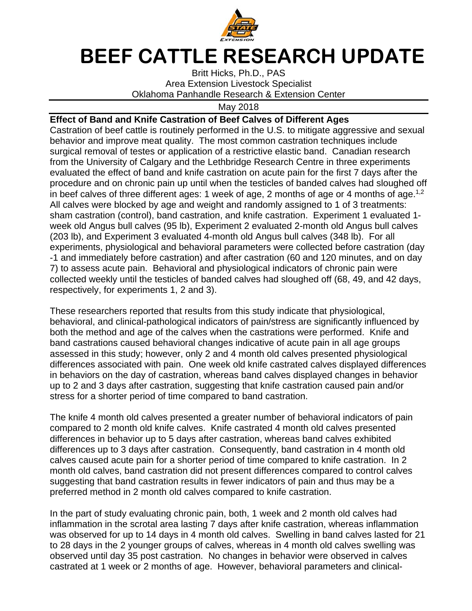

## **BEEF CATTLE RESEARCH UPDATE**

Britt Hicks, Ph.D., PAS Area Extension Livestock Specialist Oklahoma Panhandle Research & Extension Center

May 2018

## **Effect of Band and Knife Castration of Beef Calves of Different Ages**

Castration of beef cattle is routinely performed in the U.S. to mitigate aggressive and sexual behavior and improve meat quality. The most common castration techniques include surgical removal of testes or application of a restrictive elastic band. Canadian research from the University of Calgary and the Lethbridge Research Centre in three experiments evaluated the effect of band and knife castration on acute pain for the first 7 days after the procedure and on chronic pain up until when the testicles of banded calves had sloughed off in beef calves of three different ages: 1 week of age, 2 months of age or 4 months of age.<sup>1,2</sup> All calves were blocked by age and weight and randomly assigned to 1 of 3 treatments: sham castration (control), band castration, and knife castration. Experiment 1 evaluated 1 week old Angus bull calves (95 lb), Experiment 2 evaluated 2-month old Angus bull calves (203 lb), and Experiment 3 evaluated 4-month old Angus bull calves (348 lb). For all experiments, physiological and behavioral parameters were collected before castration (day -1 and immediately before castration) and after castration (60 and 120 minutes, and on day 7) to assess acute pain. Behavioral and physiological indicators of chronic pain were collected weekly until the testicles of banded calves had sloughed off (68, 49, and 42 days, respectively, for experiments 1, 2 and 3).

These researchers reported that results from this study indicate that physiological, behavioral, and clinical-pathological indicators of pain/stress are significantly influenced by both the method and age of the calves when the castrations were performed. Knife and band castrations caused behavioral changes indicative of acute pain in all age groups assessed in this study; however, only 2 and 4 month old calves presented physiological differences associated with pain. One week old knife castrated calves displayed differences in behaviors on the day of castration, whereas band calves displayed changes in behavior up to 2 and 3 days after castration, suggesting that knife castration caused pain and/or stress for a shorter period of time compared to band castration.

The knife 4 month old calves presented a greater number of behavioral indicators of pain compared to 2 month old knife calves. Knife castrated 4 month old calves presented differences in behavior up to 5 days after castration, whereas band calves exhibited differences up to 3 days after castration. Consequently, band castration in 4 month old calves caused acute pain for a shorter period of time compared to knife castration. In 2 month old calves, band castration did not present differences compared to control calves suggesting that band castration results in fewer indicators of pain and thus may be a preferred method in 2 month old calves compared to knife castration.

In the part of study evaluating chronic pain, both, 1 week and 2 month old calves had inflammation in the scrotal area lasting 7 days after knife castration, whereas inflammation was observed for up to 14 days in 4 month old calves. Swelling in band calves lasted for 21 to 28 days in the 2 younger groups of calves, whereas in 4 month old calves swelling was observed until day 35 post castration. No changes in behavior were observed in calves castrated at 1 week or 2 months of age. However, behavioral parameters and clinical